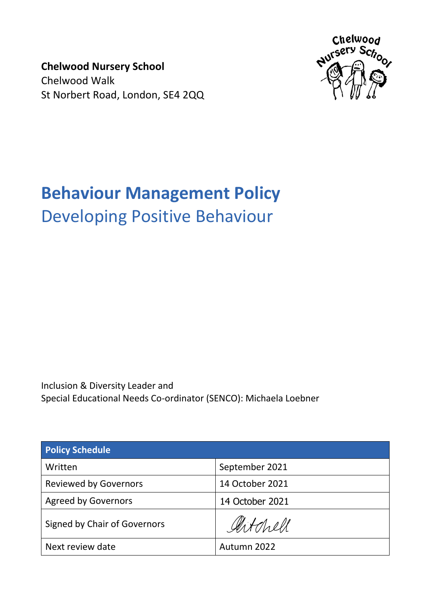**Chelwood Nursery School** Chelwood Walk St Norbert Road, London, SE4 2QQ



# **Behaviour Management Policy** Developing Positive Behaviour

Inclusion & Diversity Leader and Special Educational Needs Co-ordinator (SENCO): Michaela Loebner

| <b>Policy Schedule</b>       |                 |
|------------------------------|-----------------|
| Written                      | September 2021  |
| <b>Reviewed by Governors</b> | 14 October 2021 |
| <b>Agreed by Governors</b>   | 14 October 2021 |
| Signed by Chair of Governors | Artchell        |
| Next review date             | Autumn 2022     |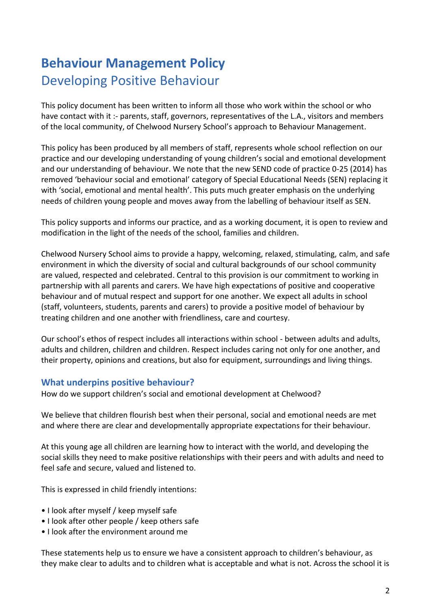# **Behaviour Management Policy** Developing Positive Behaviour

This policy document has been written to inform all those who work within the school or who have contact with it :- parents, staff, governors, representatives of the L.A., visitors and members of the local community, of Chelwood Nursery School's approach to Behaviour Management.

This policy has been produced by all members of staff, represents whole school reflection on our practice and our developing understanding of young children's social and emotional development and our understanding of behaviour. We note that the new SEND code of practice 0-25 (2014) has removed 'behaviour social and emotional' category of Special Educational Needs (SEN) replacing it with 'social, emotional and mental health'. This puts much greater emphasis on the underlying needs of children young people and moves away from the labelling of behaviour itself as SEN.

This policy supports and informs our practice, and as a working document, it is open to review and modification in the light of the needs of the school, families and children.

Chelwood Nursery School aims to provide a happy, welcoming, relaxed, stimulating, calm, and safe environment in which the diversity of social and cultural backgrounds of our school community are valued, respected and celebrated. Central to this provision is our commitment to working in partnership with all parents and carers. We have high expectations of positive and cooperative behaviour and of mutual respect and support for one another. We expect all adults in school (staff, volunteers, students, parents and carers) to provide a positive model of behaviour by treating children and one another with friendliness, care and courtesy.

Our school's ethos of respect includes all interactions within school - between adults and adults, adults and children, children and children. Respect includes caring not only for one another, and their property, opinions and creations, but also for equipment, surroundings and living things.

### **What underpins positive behaviour?**

How do we support children's social and emotional development at Chelwood?

We believe that children flourish best when their personal, social and emotional needs are met and where there are clear and developmentally appropriate expectations for their behaviour.

At this young age all children are learning how to interact with the world, and developing the social skills they need to make positive relationships with their peers and with adults and need to feel safe and secure, valued and listened to.

This is expressed in child friendly intentions:

- I look after myself / keep myself safe
- I look after other people / keep others safe
- I look after the environment around me

These statements help us to ensure we have a consistent approach to children's behaviour, as they make clear to adults and to children what is acceptable and what is not. Across the school it is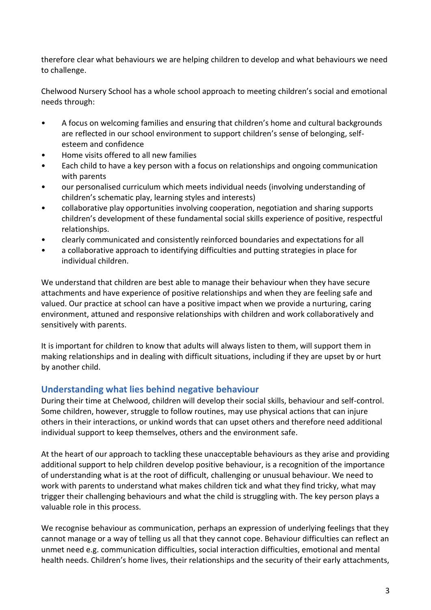therefore clear what behaviours we are helping children to develop and what behaviours we need to challenge.

Chelwood Nursery School has a whole school approach to meeting children's social and emotional needs through:

- A focus on welcoming families and ensuring that children's home and cultural backgrounds are reflected in our school environment to support children's sense of belonging, selfesteem and confidence
- Home visits offered to all new families
- Each child to have a key person with a focus on relationships and ongoing communication with parents
- our personalised curriculum which meets individual needs (involving understanding of children's schematic play, learning styles and interests)
- collaborative play opportunities involving cooperation, negotiation and sharing supports children's development of these fundamental social skills experience of positive, respectful relationships.
- clearly communicated and consistently reinforced boundaries and expectations for all
- a collaborative approach to identifying difficulties and putting strategies in place for individual children.

We understand that children are best able to manage their behaviour when they have secure attachments and have experience of positive relationships and when they are feeling safe and valued. Our practice at school can have a positive impact when we provide a nurturing, caring environment, attuned and responsive relationships with children and work collaboratively and sensitively with parents.

It is important for children to know that adults will always listen to them, will support them in making relationships and in dealing with difficult situations, including if they are upset by or hurt by another child.

### **Understanding what lies behind negative behaviour**

During their time at Chelwood, children will develop their social skills, behaviour and self-control. Some children, however, struggle to follow routines, may use physical actions that can injure others in their interactions, or unkind words that can upset others and therefore need additional individual support to keep themselves, others and the environment safe.

At the heart of our approach to tackling these unacceptable behaviours as they arise and providing additional support to help children develop positive behaviour, is a recognition of the importance of understanding what is at the root of difficult, challenging or unusual behaviour. We need to work with parents to understand what makes children tick and what they find tricky, what may trigger their challenging behaviours and what the child is struggling with. The key person plays a valuable role in this process.

We recognise behaviour as communication, perhaps an expression of underlying feelings that they cannot manage or a way of telling us all that they cannot cope. Behaviour difficulties can reflect an unmet need e.g. communication difficulties, social interaction difficulties, emotional and mental health needs. Children's home lives, their relationships and the security of their early attachments,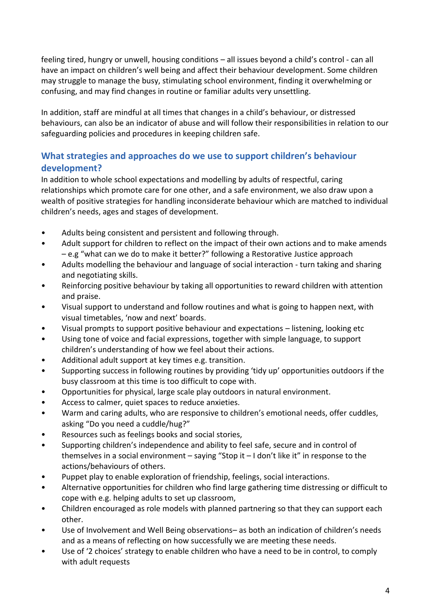feeling tired, hungry or unwell, housing conditions – all issues beyond a child's control - can all have an impact on children's well being and affect their behaviour development. Some children may struggle to manage the busy, stimulating school environment, finding it overwhelming or confusing, and may find changes in routine or familiar adults very unsettling.

In addition, staff are mindful at all times that changes in a child's behaviour, or distressed behaviours, can also be an indicator of abuse and will follow their responsibilities in relation to our safeguarding policies and procedures in keeping children safe.

# **What strategies and approaches do we use to support children's behaviour development?**

In addition to whole school expectations and modelling by adults of respectful, caring relationships which promote care for one other, and a safe environment, we also draw upon a wealth of positive strategies for handling inconsiderate behaviour which are matched to individual children's needs, ages and stages of development.

- Adults being consistent and persistent and following through.
- Adult support for children to reflect on the impact of their own actions and to make amends – e.g "what can we do to make it better?" following a Restorative Justice approach
- Adults modelling the behaviour and language of social interaction turn taking and sharing and negotiating skills.
- Reinforcing positive behaviour by taking all opportunities to reward children with attention and praise.
- Visual support to understand and follow routines and what is going to happen next, with visual timetables, 'now and next' boards.
- Visual prompts to support positive behaviour and expectations listening, looking etc
- Using tone of voice and facial expressions, together with simple language, to support children's understanding of how we feel about their actions.
- Additional adult support at key times e.g. transition.
- Supporting success in following routines by providing 'tidy up' opportunities outdoors if the busy classroom at this time is too difficult to cope with.
- Opportunities for physical, large scale play outdoors in natural environment.
- Access to calmer, quiet spaces to reduce anxieties.
- Warm and caring adults, who are responsive to children's emotional needs, offer cuddles, asking "Do you need a cuddle/hug?"
- Resources such as feelings books and social stories,
- Supporting children's independence and ability to feel safe, secure and in control of themselves in a social environment – saying "Stop it – I don't like it" in response to the actions/behaviours of others.
- Puppet play to enable exploration of friendship, feelings, social interactions.
- Alternative opportunities for children who find large gathering time distressing or difficult to cope with e.g. helping adults to set up classroom,
- Children encouraged as role models with planned partnering so that they can support each other.
- Use of Involvement and Well Being observations– as both an indication of children's needs and as a means of reflecting on how successfully we are meeting these needs.
- Use of '2 choices' strategy to enable children who have a need to be in control, to comply with adult requests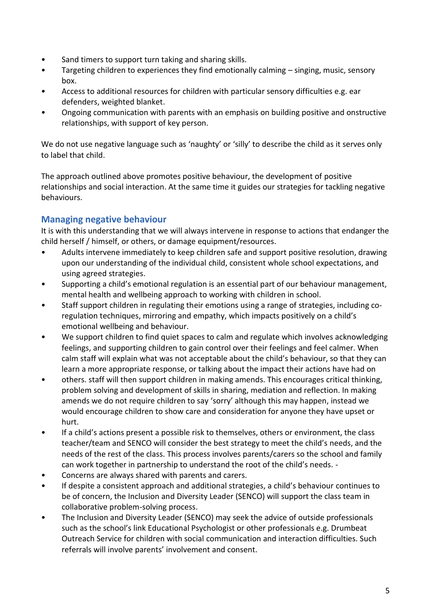- Sand timers to support turn taking and sharing skills.
- Targeting children to experiences they find emotionally calming singing, music, sensory box.
- Access to additional resources for children with particular sensory difficulties e.g. ear defenders, weighted blanket.
- Ongoing communication with parents with an emphasis on building positive and onstructive relationships, with support of key person.

We do not use negative language such as 'naughty' or 'silly' to describe the child as it serves only to label that child.

The approach outlined above promotes positive behaviour, the development of positive relationships and social interaction. At the same time it guides our strategies for tackling negative behaviours.

# **Managing negative behaviour**

It is with this understanding that we will always intervene in response to actions that endanger the child herself / himself, or others, or damage equipment/resources.

- Adults intervene immediately to keep children safe and support positive resolution, drawing upon our understanding of the individual child, consistent whole school expectations, and using agreed strategies.
- Supporting a child's emotional regulation is an essential part of our behaviour management, mental health and wellbeing approach to working with children in school.
- Staff support children in regulating their emotions using a range of strategies, including coregulation techniques, mirroring and empathy, which impacts positively on a child's emotional wellbeing and behaviour.
- We support children to find quiet spaces to calm and regulate which involves acknowledging feelings, and supporting children to gain control over their feelings and feel calmer. When calm staff will explain what was not acceptable about the child's behaviour, so that they can learn a more appropriate response, or talking about the impact their actions have had on
- others. staff will then support children in making amends. This encourages critical thinking, problem solving and development of skills in sharing, mediation and reflection. In making amends we do not require children to say 'sorry' although this may happen, instead we would encourage children to show care and consideration for anyone they have upset or hurt.
- If a child's actions present a possible risk to themselves, others or environment, the class teacher/team and SENCO will consider the best strategy to meet the child's needs, and the needs of the rest of the class. This process involves parents/carers so the school and family can work together in partnership to understand the root of the child's needs. -
- Concerns are always shared with parents and carers.
- If despite a consistent approach and additional strategies, a child's behaviour continues to be of concern, the Inclusion and Diversity Leader (SENCO) will support the class team in collaborative problem-solving process.
- The Inclusion and Diversity Leader (SENCO) may seek the advice of outside professionals such as the school's link Educational Psychologist or other professionals e.g. Drumbeat Outreach Service for children with social communication and interaction difficulties. Such referrals will involve parents' involvement and consent.